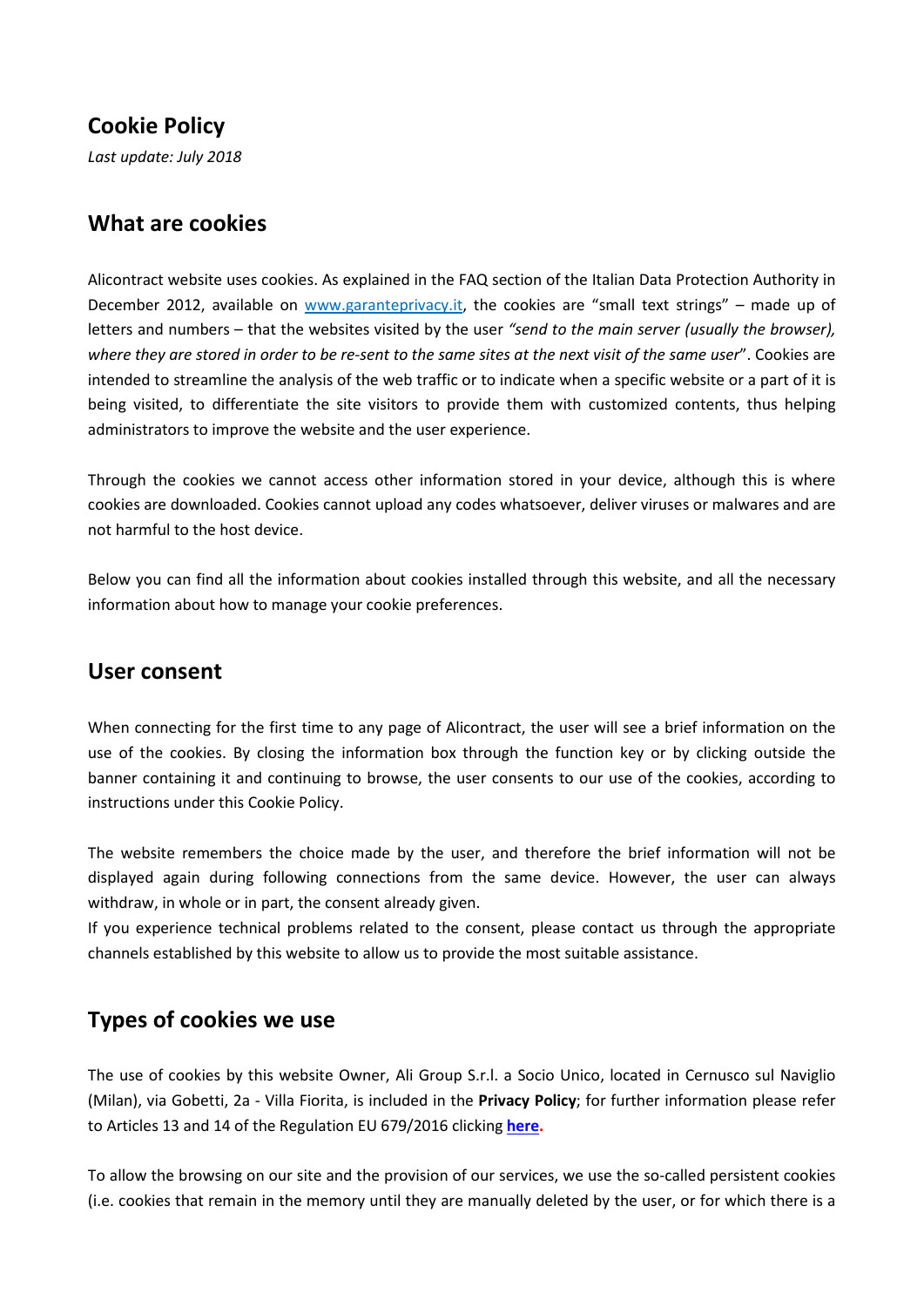### **Cookie Policy**

*Last update: July 2018*

#### **What are cookies**

Alicontract website uses cookies. As explained in the FAQ section of the Italian Data Protection Authority in December 2012, available on [www.garanteprivacy.it,](http://www.garanteprivacy.it/) the cookies are "small text strings" – made up of letters and numbers – that the websites visited by the user *"send to the main server (usually the browser), where they are stored in order to be re-sent to the same sites at the next visit of the same user*". Cookies are intended to streamline the analysis of the web traffic or to indicate when a specific website or a part of it is being visited, to differentiate the site visitors to provide them with customized contents, thus helping administrators to improve the website and the user experience.

Through the cookies we cannot access other information stored in your device, although this is where cookies are downloaded. Cookies cannot upload any codes whatsoever, deliver viruses or malwares and are not harmful to the host device.

Below you can find all the information about cookies installed through this website, and all the necessary information about how to manage your cookie preferences.

#### **User consent**

When connecting for the first time to any page of Alicontract, the user will see a brief information on the use of the cookies. By closing the information box through the function key or by clicking outside the banner containing it and continuing to browse, the user consents to our use of the cookies, according to instructions under this Cookie Policy.

The website remembers the choice made by the user, and therefore the brief information will not be displayed again during following connections from the same device. However, the user can always withdraw, in whole or in part, the consent already given.

If you experience technical problems related to the consent, please contact us through the appropriate channels established by this website to allow us to provide the most suitable assistance.

### **Types of cookies we use**

The use of cookies by this website Owner, Ali Group S.r.l. a Socio Unico, located in Cernusco sul Naviglio (Milan), via Gobetti, 2a - Villa Fiorita, is included in the **Privacy Policy**; for further information please refer to Articles 13 and 14 of the Regulation EU 679/2016 clicking **[here.](http://www.alicontract.com/privacy-policy.pdf)**

To allow the browsing on our site and the provision of our services, we use the so-called persistent cookies (i.e. cookies that remain in the memory until they are manually deleted by the user, or for which there is a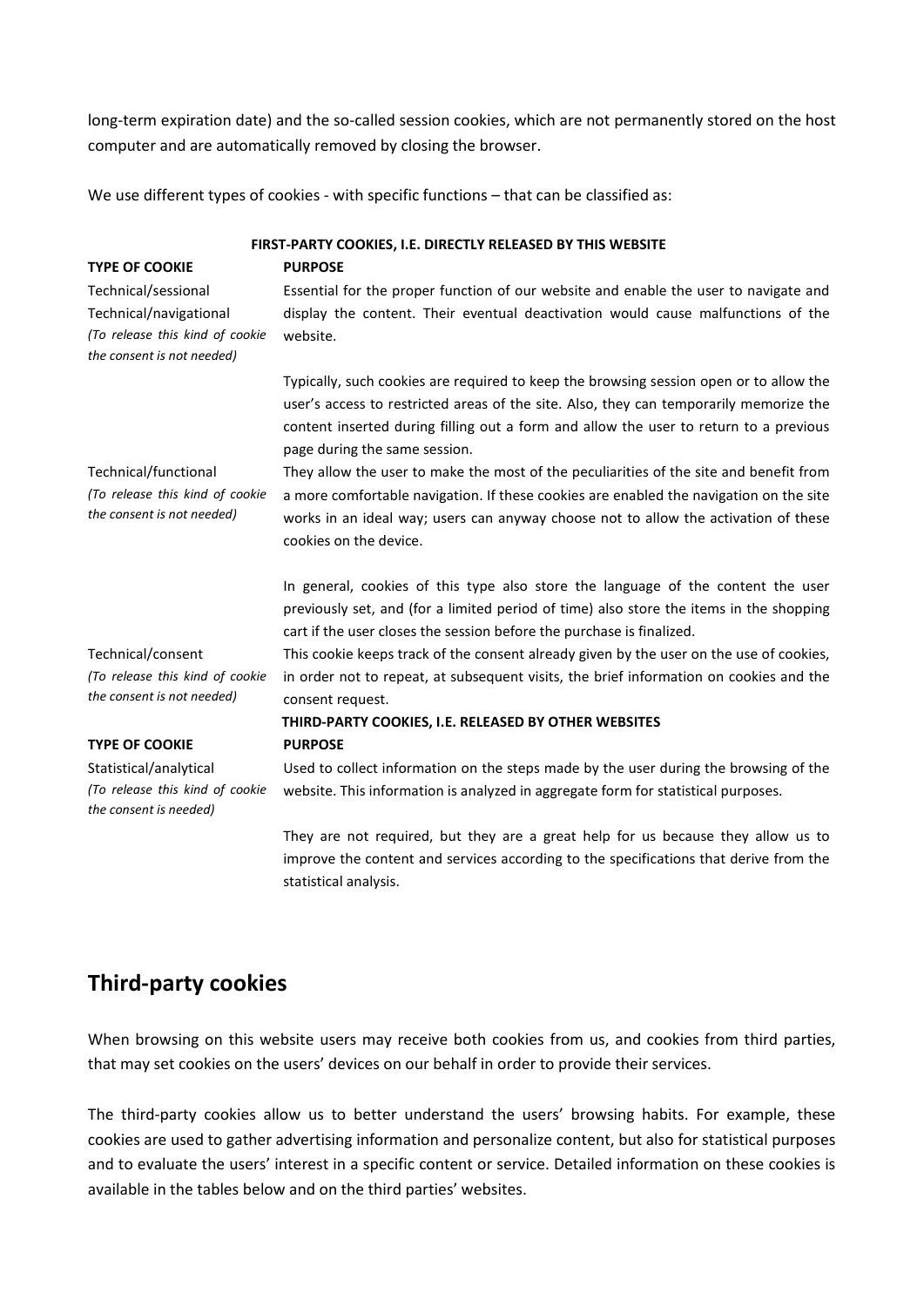long-term expiration date) and the so-called session cookies, which are not permanently stored on the host computer and are automatically removed by closing the browser.

We use different types of cookies - with specific functions - that can be classified as:

**FIRST-PARTY COOKIES, I.E. DIRECTLY RELEASED BY THIS WEBSITE TYPE OF COOKIE PURPOSE** Technical/sessional Technical/navigational *(To release this kind of cookie the consent is not needed)* Essential for the proper function of our website and enable the user to navigate and display the content. Their eventual deactivation would cause malfunctions of the website. Typically, such cookies are required to keep the browsing session open or to allow the user's access to restricted areas of the site. Also, they can temporarily memorize the content inserted during filling out a form and allow the user to return to a previous page during the same session. Technical/functional *(To release this kind of cookie the consent is not needed)* They allow the user to make the most of the peculiarities of the site and benefit from a more comfortable navigation. If these cookies are enabled the navigation on the site works in an ideal way; users can anyway choose not to allow the activation of these cookies on the device. In general, cookies of this type also store the language of the content the user previously set, and (for a limited period of time) also store the items in the shopping cart if the user closes the session before the purchase is finalized. Technical/consent *(To release this kind of cookie the consent is not needed)* This cookie keeps track of the consent already given by the user on the use of cookies, in order not to repeat, at subsequent visits, the brief information on cookies and the consent request.  **THIRD-PARTY COOKIES, I.E. RELEASED BY OTHER WEBSITES TYPE OF COOKIE PURPOSE** Statistical/analytical *(To release this kind of cookie the consent is needed)* Used to collect information on the steps made by the user during the browsing of the website. This information is analyzed in aggregate form for statistical purposes. They are not required, but they are a great help for us because they allow us to improve the content and services according to the specifications that derive from the statistical analysis.

### **Third-party cookies**

When browsing on this website users may receive both cookies from us, and cookies from third parties, that may set cookies on the users' devices on our behalf in order to provide their services.

The third-party cookies allow us to better understand the users' browsing habits. For example, these cookies are used to gather advertising information and personalize content, but also for statistical purposes and to evaluate the users' interest in a specific content or service. Detailed information on these cookies is available in the tables below and on the third parties' websites.